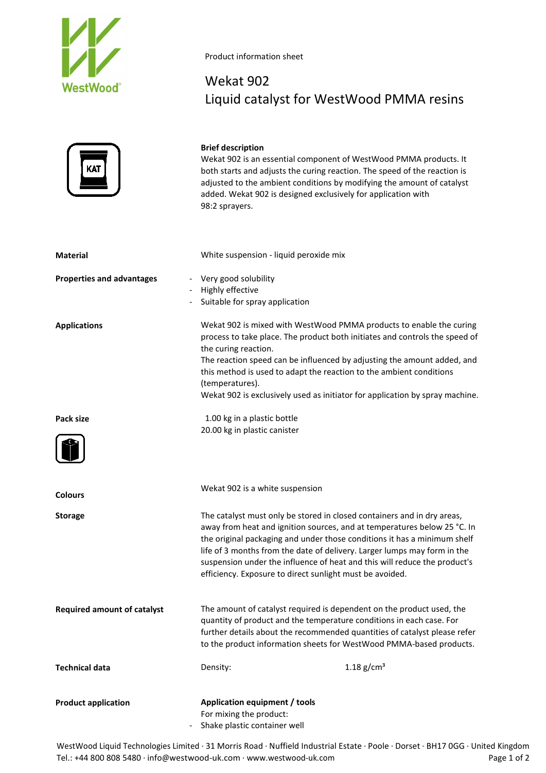

## Product information sheet

## Wekat 902 Liquid catalyst for WestWood PMMA resins

| <b>KAT</b>                         | <b>Brief description</b><br>Wekat 902 is an essential component of WestWood PMMA products. It<br>both starts and adjusts the curing reaction. The speed of the reaction is<br>adjusted to the ambient conditions by modifying the amount of catalyst<br>added. Wekat 902 is designed exclusively for application with<br>98:2 sprayers.                                                                                                              |
|------------------------------------|------------------------------------------------------------------------------------------------------------------------------------------------------------------------------------------------------------------------------------------------------------------------------------------------------------------------------------------------------------------------------------------------------------------------------------------------------|
| <b>Material</b>                    | White suspension - liquid peroxide mix                                                                                                                                                                                                                                                                                                                                                                                                               |
| <b>Properties and advantages</b>   | Very good solubility<br>Highly effective<br>Suitable for spray application                                                                                                                                                                                                                                                                                                                                                                           |
| <b>Applications</b>                | Wekat 902 is mixed with WestWood PMMA products to enable the curing<br>process to take place. The product both initiates and controls the speed of<br>the curing reaction.<br>The reaction speed can be influenced by adjusting the amount added, and<br>this method is used to adapt the reaction to the ambient conditions<br>(temperatures).<br>Wekat 902 is exclusively used as initiator for application by spray machine.                      |
| Pack size                          | 1.00 kg in a plastic bottle<br>20.00 kg in plastic canister                                                                                                                                                                                                                                                                                                                                                                                          |
| <b>Colours</b>                     | Wekat 902 is a white suspension                                                                                                                                                                                                                                                                                                                                                                                                                      |
| <b>Storage</b>                     | The catalyst must only be stored in closed containers and in dry areas,<br>away from heat and ignition sources, and at temperatures below 25 °C. In<br>the original packaging and under those conditions it has a minimum shelf<br>life of 3 months from the date of delivery. Larger lumps may form in the<br>suspension under the influence of heat and this will reduce the product's<br>efficiency. Exposure to direct sunlight must be avoided. |
| <b>Required amount of catalyst</b> | The amount of catalyst required is dependent on the product used, the<br>quantity of product and the temperature conditions in each case. For<br>further details about the recommended quantities of catalyst please refer<br>to the product information sheets for WestWood PMMA-based products.                                                                                                                                                    |
| <b>Technical data</b>              | 1.18 $g/cm^{3}$<br>Density:                                                                                                                                                                                                                                                                                                                                                                                                                          |
| <b>Product application</b>         | Application equipment / tools<br>For mixing the product:<br>Shake plastic container well                                                                                                                                                                                                                                                                                                                                                             |

WestWood Liquid Technologies Limited · 31 Morris Road · Nuffield Industrial Estate · Poole · Dorset · BH17 0GG · United Kingdom Tel.: +44 800 808 5480 · info@westwood-uk.com · www.westwood-uk.com Page 1 of 2